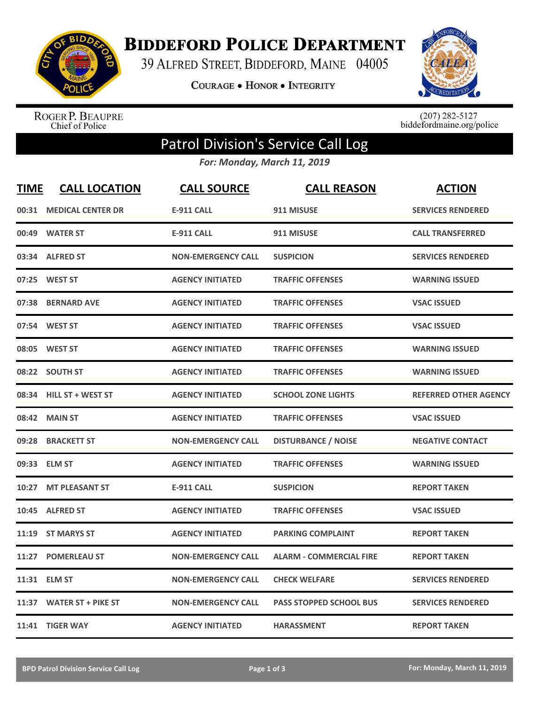

**BIDDEFORD POLICE DEPARTMENT** 

39 ALFRED STREET, BIDDEFORD, MAINE 04005

**COURAGE . HONOR . INTEGRITY** 



ROGER P. BEAUPRE<br>Chief of Police

 $(207)$  282-5127<br>biddefordmaine.org/police

## Patrol Division's Service Call Log

*For: Monday, March 11, 2019*

| <b>TIME</b> | <b>CALL LOCATION</b>      | <b>CALL SOURCE</b>        | <b>CALL REASON</b>             | <b>ACTION</b>                |
|-------------|---------------------------|---------------------------|--------------------------------|------------------------------|
|             | 00:31 MEDICAL CENTER DR   | <b>E-911 CALL</b>         | 911 MISUSE                     | <b>SERVICES RENDERED</b>     |
|             | 00:49 WATER ST            | <b>E-911 CALL</b>         | 911 MISUSE                     | <b>CALL TRANSFERRED</b>      |
|             | 03:34 ALFRED ST           | <b>NON-EMERGENCY CALL</b> | <b>SUSPICION</b>               | <b>SERVICES RENDERED</b>     |
| 07:25       | <b>WEST ST</b>            | <b>AGENCY INITIATED</b>   | <b>TRAFFIC OFFENSES</b>        | <b>WARNING ISSUED</b>        |
| 07:38       | <b>BERNARD AVE</b>        | <b>AGENCY INITIATED</b>   | <b>TRAFFIC OFFENSES</b>        | <b>VSAC ISSUED</b>           |
|             | 07:54 WEST ST             | <b>AGENCY INITIATED</b>   | <b>TRAFFIC OFFENSES</b>        | <b>VSAC ISSUED</b>           |
| 08:05       | <b>WEST ST</b>            | <b>AGENCY INITIATED</b>   | <b>TRAFFIC OFFENSES</b>        | <b>WARNING ISSUED</b>        |
| 08:22       | <b>SOUTH ST</b>           | <b>AGENCY INITIATED</b>   | <b>TRAFFIC OFFENSES</b>        | <b>WARNING ISSUED</b>        |
| 08:34       | <b>HILL ST + WEST ST</b>  | <b>AGENCY INITIATED</b>   | <b>SCHOOL ZONE LIGHTS</b>      | <b>REFERRED OTHER AGENCY</b> |
| 08:42       | <b>MAIN ST</b>            | <b>AGENCY INITIATED</b>   | <b>TRAFFIC OFFENSES</b>        | <b>VSAC ISSUED</b>           |
| 09:28       | <b>BRACKETT ST</b>        | <b>NON-EMERGENCY CALL</b> | <b>DISTURBANCE / NOISE</b>     | <b>NEGATIVE CONTACT</b>      |
|             | 09:33 ELM ST              | <b>AGENCY INITIATED</b>   | <b>TRAFFIC OFFENSES</b>        | <b>WARNING ISSUED</b>        |
| 10:27       | <b>MT PLEASANT ST</b>     | <b>E-911 CALL</b>         | <b>SUSPICION</b>               | <b>REPORT TAKEN</b>          |
| 10:45       | <b>ALFRED ST</b>          | <b>AGENCY INITIATED</b>   | <b>TRAFFIC OFFENSES</b>        | <b>VSAC ISSUED</b>           |
| 11:19       | <b>ST MARYS ST</b>        | <b>AGENCY INITIATED</b>   | <b>PARKING COMPLAINT</b>       | <b>REPORT TAKEN</b>          |
| 11:27       | <b>POMERLEAU ST</b>       | <b>NON-EMERGENCY CALL</b> | <b>ALARM - COMMERCIAL FIRE</b> | <b>REPORT TAKEN</b>          |
|             | 11:31 ELM ST              | <b>NON-EMERGENCY CALL</b> | <b>CHECK WELFARE</b>           | <b>SERVICES RENDERED</b>     |
| 11:37       | <b>WATER ST + PIKE ST</b> | <b>NON-EMERGENCY CALL</b> | <b>PASS STOPPED SCHOOL BUS</b> | <b>SERVICES RENDERED</b>     |
|             | 11:41 TIGER WAY           | <b>AGENCY INITIATED</b>   | <b>HARASSMENT</b>              | <b>REPORT TAKEN</b>          |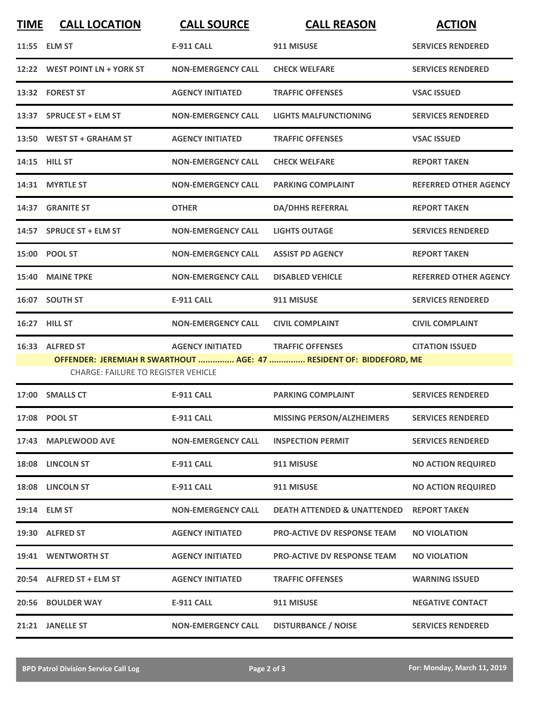| <b>TIME</b> | <b>CALL LOCATION</b>                       | <b>CALL SOURCE</b>        | <b>CALL REASON</b>                                                  | <b>ACTION</b>                |
|-------------|--------------------------------------------|---------------------------|---------------------------------------------------------------------|------------------------------|
|             | 11:55 ELM ST                               | <b>E-911 CALL</b>         | 911 MISUSE                                                          | <b>SERVICES RENDERED</b>     |
|             | 12:22 WEST POINT LN + YORK ST              | <b>NON-EMERGENCY CALL</b> | <b>CHECK WELFARE</b>                                                | <b>SERVICES RENDERED</b>     |
|             | 13:32 FOREST ST                            | <b>AGENCY INITIATED</b>   | <b>TRAFFIC OFFENSES</b>                                             | <b>VSAC ISSUED</b>           |
|             | 13:37 SPRUCE ST + ELM ST                   | <b>NON-EMERGENCY CALL</b> | <b>LIGHTS MALFUNCTIONING</b>                                        | <b>SERVICES RENDERED</b>     |
|             | 13:50 WEST ST + GRAHAM ST                  | <b>AGENCY INITIATED</b>   | <b>TRAFFIC OFFENSES</b>                                             | <b>VSAC ISSUED</b>           |
|             | <b>14:15 HILL ST</b>                       | <b>NON-EMERGENCY CALL</b> | <b>CHECK WELFARE</b>                                                | <b>REPORT TAKEN</b>          |
|             | 14:31 MYRTLE ST                            | <b>NON-EMERGENCY CALL</b> | <b>PARKING COMPLAINT</b>                                            | <b>REFERRED OTHER AGENCY</b> |
|             | 14:37 GRANITE ST                           | <b>OTHER</b>              | <b>DA/DHHS REFERRAL</b>                                             | <b>REPORT TAKEN</b>          |
|             | 14:57 SPRUCE ST + ELM ST                   | <b>NON-EMERGENCY CALL</b> | <b>LIGHTS OUTAGE</b>                                                | <b>SERVICES RENDERED</b>     |
|             | 15:00 POOL ST                              | <b>NON-EMERGENCY CALL</b> | <b>ASSIST PD AGENCY</b>                                             | <b>REPORT TAKEN</b>          |
|             | 15:40 MAINE TPKE                           | <b>NON-EMERGENCY CALL</b> | <b>DISABLED VEHICLE</b>                                             | <b>REFERRED OTHER AGENCY</b> |
|             | 16:07 SOUTH ST                             | <b>E-911 CALL</b>         | 911 MISUSE                                                          | <b>SERVICES RENDERED</b>     |
|             | 16:27 HILL ST                              | <b>NON-EMERGENCY CALL</b> | <b>CIVIL COMPLAINT</b>                                              | <b>CIVIL COMPLAINT</b>       |
|             | 16:33 ALFRED ST                            | <b>AGENCY INITIATED</b>   | <b>TRAFFIC OFFENSES</b>                                             | <b>CITATION ISSUED</b>       |
|             | <b>CHARGE: FAILURE TO REGISTER VEHICLE</b> |                           | OFFENDER: JEREMIAH R SWARTHOUT  AGE: 47  RESIDENT OF: BIDDEFORD, ME |                              |
|             | 17:00 SMALLS CT                            | <b>E-911 CALL</b>         | <b>PARKING COMPLAINT</b>                                            | <b>SERVICES RENDERED</b>     |
|             | 17:08 POOL ST                              | <b>E-911 CALL</b>         | MISSING PERSON/ALZHEIMERS                                           | <b>SERVICES RENDERED</b>     |
|             | 17:43 MAPLEWOOD AVE                        | <b>NON-EMERGENCY CALL</b> | <b>INSPECTION PERMIT</b>                                            | <b>SERVICES RENDERED</b>     |
|             | 18:08 LINCOLN ST                           | <b>E-911 CALL</b>         | 911 MISUSE                                                          | <b>NO ACTION REQUIRED</b>    |
|             | 18:08 LINCOLN ST                           | E-911 CALL                | 911 MISUSE                                                          | <b>NO ACTION REQUIRED</b>    |
|             | 19:14 ELM ST                               | <b>NON-EMERGENCY CALL</b> | <b>DEATH ATTENDED &amp; UNATTENDED</b>                              | <b>REPORT TAKEN</b>          |
|             | 19:30 ALFRED ST                            | <b>AGENCY INITIATED</b>   | <b>PRO-ACTIVE DV RESPONSE TEAM</b>                                  | <b>NO VIOLATION</b>          |
|             | 19:41 WENTWORTH ST                         | <b>AGENCY INITIATED</b>   | <b>PRO-ACTIVE DV RESPONSE TEAM</b>                                  | <b>NO VIOLATION</b>          |
|             | 20:54 ALFRED ST + ELM ST                   | <b>AGENCY INITIATED</b>   | <b>TRAFFIC OFFENSES</b>                                             | <b>WARNING ISSUED</b>        |
|             | 20:56 BOULDER WAY                          | <b>E-911 CALL</b>         | 911 MISUSE                                                          | <b>NEGATIVE CONTACT</b>      |
|             | 21:21 JANELLE ST                           | <b>NON-EMERGENCY CALL</b> | <b>DISTURBANCE / NOISE</b>                                          | <b>SERVICES RENDERED</b>     |